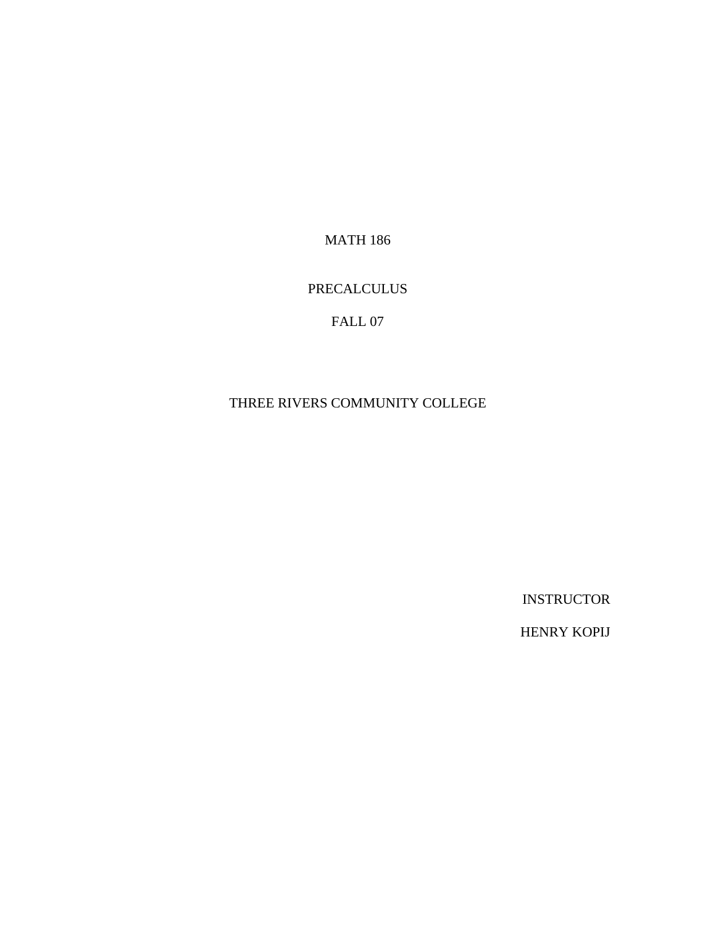**MATH 186** 

### **PRECALCULUS**

## FALL 07

#### THREE RIVERS COMMUNITY COLLEGE

**INSTRUCTOR** 

**HENRY KOPIJ**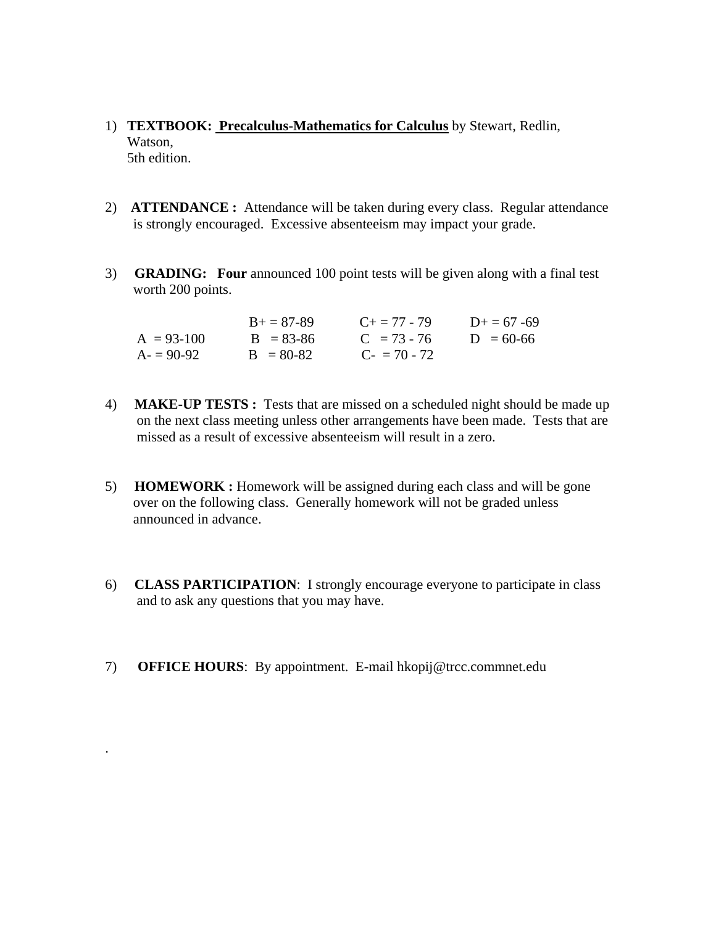- 1) **TEXTBOOK: Precalculus-Mathematics for Calculus** by Stewart, Redlin, Watson, 5th edition.
- 2) **ATTENDANCE :** Attendance will be taken during every class. Regular attendance is strongly encouraged. Excessive absenteeism may impact your grade.
- 3) **GRADING: Four** announced 100 point tests will be given along with a final test worth 200 points.

|              | $B_{+} = 87 - 89$ | $C_{\pm} = 77 - 79$ | $D_{+} = 67 - 69$ |
|--------------|-------------------|---------------------|-------------------|
| $A = 93-100$ | $B = 83 - 86$     | $C = 73 - 76$       | $D = 60-66$       |
| $A = 90-92$  | $B = 80-82$       | $C_{2} = 70 - 72$   |                   |

- 4) **MAKE-UP TESTS :** Tests that are missed on a scheduled night should be made up on the next class meeting unless other arrangements have been made. Tests that are missed as a result of excessive absenteeism will result in a zero.
- 5) **HOMEWORK :** Homework will be assigned during each class and will be gone over on the following class. Generally homework will not be graded unless announced in advance.
- 6) **CLASS PARTICIPATION**: I strongly encourage everyone to participate in class and to ask any questions that you may have.
- 7) **OFFICE HOURS**: By appointment. E-mail hkopij@trcc.commnet.edu

.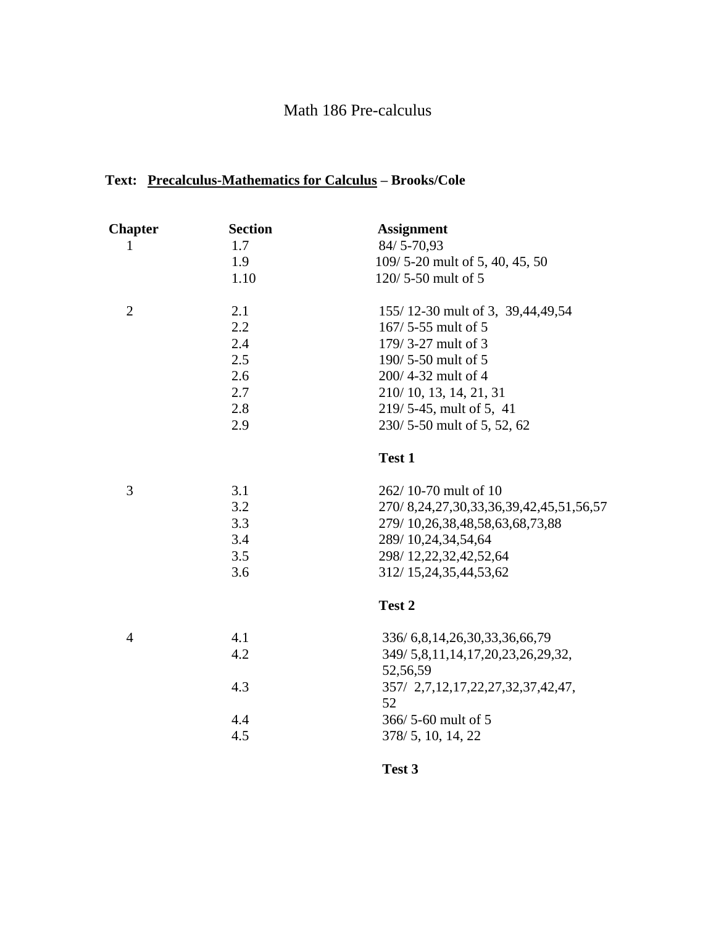# Math 186 Pre-calculus

## **Text: Precalculus-Mathematics for Calculus – Brooks/Cole**

| <b>Chapter</b> | <b>Section</b> | <b>Assignment</b>                                 |
|----------------|----------------|---------------------------------------------------|
| 1              | 1.7            | $84/5 - 70,93$                                    |
|                | 1.9            | 109/5-20 mult of 5, 40, 45, 50                    |
|                | 1.10           | 120/5-50 mult of 5                                |
| $\overline{2}$ | 2.1            | 155/12-30 mult of 3, 39,44,49,54                  |
|                | 2.2            | 167/5-55 mult of 5                                |
|                | 2.4            | 179/3-27 mult of 3                                |
|                | 2.5            | 190/5-50 mult of 5                                |
|                | 2.6            | 200/4-32 mult of 4                                |
|                | 2.7            | 210/10, 13, 14, 21, 31                            |
|                | 2.8            | 219/5-45, mult of 5, 41                           |
|                | 2.9            | 230/5-50 mult of 5, 52, 62                        |
|                |                | Test 1                                            |
| 3              | 3.1            | 262/10-70 mult of 10                              |
|                | 3.2            | 270/8, 24, 27, 30, 33, 36, 39, 42, 45, 51, 56, 57 |
|                | 3.3            | 279/10,26,38,48,58,63,68,73,88                    |
|                | 3.4            | 289/10,24,34,54,64                                |
|                | 3.5            | 298/12,22,32,42,52,64                             |
|                | 3.6            | 312/15,24,35,44,53,62                             |
|                |                | Test 2                                            |
| $\overline{4}$ | 4.1            | 336/ 6, 8, 14, 26, 30, 33, 36, 66, 79             |
|                | 4.2            | 349/5,8,11,14,17,20,23,26,29,32,                  |
|                |                | 52,56,59                                          |
|                | 4.3            | 357/ 2,7,12,17,22,27,32,37,42,47,                 |
|                |                | 52                                                |
|                | 4.4            | 366/5-60 mult of 5                                |
|                | 4.5            | 378/5, 10, 14, 22                                 |
|                |                |                                                   |

**Test 3**